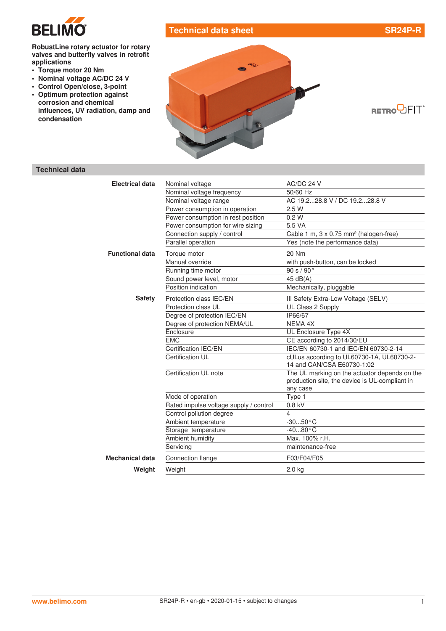

## **Technical data sheet SR24P-R**

#### **RobustLine rotary actuator for rotary valves and butterfly valves in retrofit applications**

- **• Torque motor 20 Nm**
- **• Nominal voltage AC/DC 24 V**
- **• Control Open/close, 3-point**
- **• Optimum protection against corrosion and chemical influences, UV radiation, damp and condensation**



$$
\mathbf{RETRO} \overline{\bigcup} \mathsf{FIT}^c
$$

# **Technical data**

| <b>Electrical data</b> | Nominal voltage                        | AC/DC 24 V                                                              |
|------------------------|----------------------------------------|-------------------------------------------------------------------------|
|                        | Nominal voltage frequency              | 50/60 Hz                                                                |
|                        | Nominal voltage range                  | AC 19.228.8 V / DC 19.228.8 V                                           |
|                        | Power consumption in operation         | 2.5W                                                                    |
|                        | Power consumption in rest position     | 0.2 W                                                                   |
|                        | Power consumption for wire sizing      | 5.5 VA                                                                  |
|                        | Connection supply / control            | Cable 1 m, 3 x 0.75 mm <sup>2</sup> (halogen-free)                      |
|                        | Parallel operation                     | Yes (note the performance data)                                         |
| <b>Functional data</b> | Torque motor                           | 20 Nm                                                                   |
|                        | Manual override                        | with push-button, can be locked                                         |
|                        | Running time motor                     | 90 s / 90°                                                              |
|                        | Sound power level, motor               | 45 dB(A)                                                                |
|                        | Position indication                    | Mechanically, pluggable                                                 |
| <b>Safety</b>          | Protection class IEC/EN                | III Safety Extra-Low Voltage (SELV)                                     |
|                        | Protection class UL                    | UL Class 2 Supply                                                       |
|                        | Degree of protection IEC/EN            | IP66/67                                                                 |
|                        | Degree of protection NEMA/UL           | <b>NEMA 4X</b>                                                          |
|                        | Enclosure                              | UL Enclosure Type 4X                                                    |
|                        | <b>EMC</b>                             | CE according to 2014/30/EU                                              |
|                        | Certification IEC/EN                   | IEC/EN 60730-1 and IEC/EN 60730-2-14                                    |
|                        | Certification UL                       | cULus according to UL60730-1A, UL60730-2-<br>14 and CAN/CSA E60730-1:02 |
|                        | Certification UL note                  | The UL marking on the actuator depends on the                           |
|                        |                                        | production site, the device is UL-compliant in<br>any case              |
|                        | Mode of operation                      | Type 1                                                                  |
|                        | Rated impulse voltage supply / control | $0.8$ kV                                                                |
|                        | Control pollution degree               | $\overline{4}$                                                          |
|                        | Ambient temperature                    | $-3050 °C$                                                              |
|                        | Storage temperature                    | $-4080 °C$                                                              |
|                        | Ambient humidity                       | Max. 100% r.H.                                                          |
|                        | Servicing                              | maintenance-free                                                        |
| <b>Mechanical data</b> | Connection flange                      | F03/F04/F05                                                             |
| Weight                 | Weight                                 | $2.0$ kg                                                                |
|                        |                                        |                                                                         |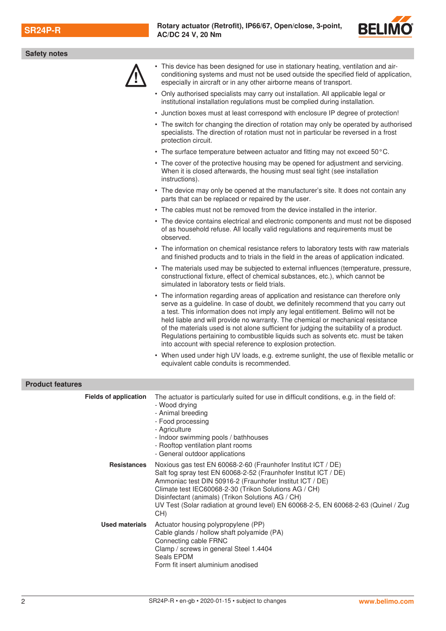

| <b>Safety notes</b>          |                                                                                                                                                                                                                                                                                                                                                                                                                                                                                                                                                                                                  |
|------------------------------|--------------------------------------------------------------------------------------------------------------------------------------------------------------------------------------------------------------------------------------------------------------------------------------------------------------------------------------------------------------------------------------------------------------------------------------------------------------------------------------------------------------------------------------------------------------------------------------------------|
|                              | • This device has been designed for use in stationary heating, ventilation and air-<br>conditioning systems and must not be used outside the specified field of application,<br>especially in aircraft or in any other airborne means of transport.                                                                                                                                                                                                                                                                                                                                              |
|                              | • Only authorised specialists may carry out installation. All applicable legal or<br>institutional installation regulations must be complied during installation.                                                                                                                                                                                                                                                                                                                                                                                                                                |
|                              | • Junction boxes must at least correspond with enclosure IP degree of protection!                                                                                                                                                                                                                                                                                                                                                                                                                                                                                                                |
|                              | • The switch for changing the direction of rotation may only be operated by authorised<br>specialists. The direction of rotation must not in particular be reversed in a frost<br>protection circuit.                                                                                                                                                                                                                                                                                                                                                                                            |
|                              | • The surface temperature between actuator and fitting may not exceed 50°C.                                                                                                                                                                                                                                                                                                                                                                                                                                                                                                                      |
|                              | • The cover of the protective housing may be opened for adjustment and servicing.<br>When it is closed afterwards, the housing must seal tight (see installation<br>instructions).                                                                                                                                                                                                                                                                                                                                                                                                               |
|                              | • The device may only be opened at the manufacturer's site. It does not contain any<br>parts that can be replaced or repaired by the user.                                                                                                                                                                                                                                                                                                                                                                                                                                                       |
|                              | • The cables must not be removed from the device installed in the interior.                                                                                                                                                                                                                                                                                                                                                                                                                                                                                                                      |
|                              | • The device contains electrical and electronic components and must not be disposed<br>of as household refuse. All locally valid regulations and requirements must be<br>observed.                                                                                                                                                                                                                                                                                                                                                                                                               |
|                              | • The information on chemical resistance refers to laboratory tests with raw materials<br>and finished products and to trials in the field in the areas of application indicated.                                                                                                                                                                                                                                                                                                                                                                                                                |
|                              | • The materials used may be subjected to external influences (temperature, pressure,<br>constructional fixture, effect of chemical substances, etc.), which cannot be<br>simulated in laboratory tests or field trials.                                                                                                                                                                                                                                                                                                                                                                          |
|                              | • The information regarding areas of application and resistance can therefore only<br>serve as a guideline. In case of doubt, we definitely recommend that you carry out<br>a test. This information does not imply any legal entitlement. Belimo will not be<br>held liable and will provide no warranty. The chemical or mechanical resistance<br>of the materials used is not alone sufficient for judging the suitability of a product.<br>Regulations pertaining to combustible liquids such as solvents etc. must be taken<br>into account with special reference to explosion protection. |
|                              | • When used under high UV loads, e.g. extreme sunlight, the use of flexible metallic or<br>equivalent cable conduits is recommended.                                                                                                                                                                                                                                                                                                                                                                                                                                                             |
| <b>Product features</b>      |                                                                                                                                                                                                                                                                                                                                                                                                                                                                                                                                                                                                  |
| <b>Fields of application</b> | The actuator is particularly suited for use in difficult conditions, e.g. in the field of:<br>- Wood drying<br>- Animal breeding<br>- Food processing<br>- Agriculture<br>- Indoor swimming pools / bathhouses<br>- Rooftop ventilation plant rooms<br>- General outdoor applications                                                                                                                                                                                                                                                                                                            |

| <b>Resistances</b>    | Noxious gas test EN 60068-2-60 (Fraunhofer Institut ICT / DE)<br>Salt fog spray test EN 60068-2-52 (Fraunhofer Institut ICT / DE)<br>Ammoniac test DIN 50916-2 (Fraunhofer Institut ICT / DE)<br>Climate test IEC60068-2-30 (Trikon Solutions AG / CH)<br>Disinfectant (animals) (Trikon Solutions AG / CH)<br>UV Test (Solar radiation at ground level) EN 60068-2-5, EN 60068-2-63 (Quinel / Zug<br>CH) |
|-----------------------|-----------------------------------------------------------------------------------------------------------------------------------------------------------------------------------------------------------------------------------------------------------------------------------------------------------------------------------------------------------------------------------------------------------|
| <b>Used materials</b> | Actuator housing polypropylene (PP)<br>Cable glands / hollow shaft polyamide (PA)<br>Connecting cable FRNC<br>Clamp / screws in general Steel 1.4404<br>Seals EPDM<br>Form fit insert aluminium anodised                                                                                                                                                                                                  |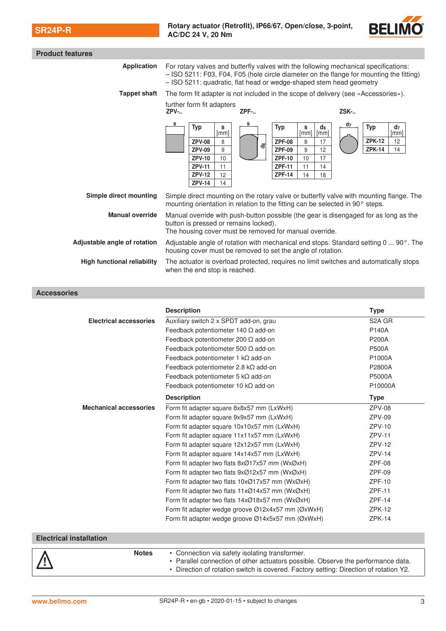

| <b>Product features</b>            |                                                                                                                                                                                                                                                                                                                                                                          |                                                                                                                                                                                                |  |
|------------------------------------|--------------------------------------------------------------------------------------------------------------------------------------------------------------------------------------------------------------------------------------------------------------------------------------------------------------------------------------------------------------------------|------------------------------------------------------------------------------------------------------------------------------------------------------------------------------------------------|--|
| <b>Application</b>                 | For rotary valves and butterfly valves with the following mechanical specifications:<br>- ISO 5211: F03, F04, F05 (hole circle diameter on the flange for mounting the fitting)<br>- ISO 5211: quadratic, flat head or wedge-shaped stem head geometry                                                                                                                   |                                                                                                                                                                                                |  |
| <b>Tappet shaft</b>                | The form fit adapter is not included in the scope of delivery (see «Accessories»).                                                                                                                                                                                                                                                                                       |                                                                                                                                                                                                |  |
|                                    | further form fit adapters<br>ZPF-<br>$ZPV-.$                                                                                                                                                                                                                                                                                                                             | ZSK-                                                                                                                                                                                           |  |
| Simple direct mounting             | s<br><b>Typ</b><br><b>Typ</b><br>s<br>[mm]<br><b>ZPF-08</b><br><b>ZPV-08</b><br>8<br>౼ఇ<br><b>ZPV-09</b><br>9<br><b>ZPF-09</b><br><b>ZPV-10</b><br><b>ZPF-10</b><br>10<br><b>ZPV-11</b><br>11<br><b>ZPF-11</b><br><b>ZPV-12</b><br><b>ZPF-14</b><br>12<br><b>ZPV-14</b><br>14<br>Simple direct mounting on the rotary valve or butterfly valve with mounting flange. The | d7<br><b>Typ</b><br>$d_8$<br>s<br>d <sub>7</sub><br>$\lceil mm \rceil$<br>[mm]<br>[mm]<br><b>ZPK-12</b><br>12<br>8<br>17<br><b>ZPK-14</b><br>14<br>9<br>12<br>10<br>17<br>11<br>14<br>14<br>18 |  |
| <b>Manual override</b>             | mounting orientation in relation to the fitting can be selected in 90° steps.<br>Manual override with push-button possible (the gear is disengaged for as long as the<br>button is pressed or remains locked).<br>The housing cover must be removed for manual override.                                                                                                 |                                                                                                                                                                                                |  |
| Adjustable angle of rotation       | Adjustable angle of rotation with mechanical end stops. Standard setting 0  90°. The<br>housing cover must be removed to set the angle of rotation.                                                                                                                                                                                                                      |                                                                                                                                                                                                |  |
| <b>High functional reliability</b> | The actuator is overload protected, requires no limit switches and automatically stops<br>when the end stop is reached.                                                                                                                                                                                                                                                  |                                                                                                                                                                                                |  |

**Accessories**

|                               | <b>Description</b>                                                         | <b>Type</b>         |
|-------------------------------|----------------------------------------------------------------------------|---------------------|
| <b>Electrical accessories</b> | Auxiliary switch 2 x SPDT add-on, grau                                     | S <sub>2</sub> A GR |
|                               | Feedback potentiometer 140 $\Omega$ add-on                                 | P140A               |
|                               | Feedback potentiometer 200 $\Omega$ add-on                                 | <b>P200A</b>        |
|                               | Feedback potentiometer 500 $\Omega$ add-on                                 | <b>P500A</b>        |
|                               | Feedback potentiometer 1 $k\Omega$ add-on                                  | P1000A              |
|                               | Feedback potentiometer 2.8 kΩ add-on                                       | P2800A              |
|                               | Feedback potentiometer 5 $k\Omega$ add-on                                  | P5000A              |
|                               | Feedback potentiometer 10 $k\Omega$ add-on                                 | P10000A             |
|                               | <b>Description</b>                                                         | <b>Type</b>         |
| <b>Mechanical accessories</b> | Form fit adapter square 8x8x57 mm (LxWxH)                                  | $ZPV-08$            |
|                               | Form fit adapter square 9x9x57 mm (LxWxH)                                  | $ZPV-09$            |
|                               | Form fit adapter square 10x10x57 mm (LxWxH)                                | $ZPV-10$            |
|                               | Form fit adapter square 11x11x57 mm (LxWxH)                                | $ZPV-11$            |
|                               | Form fit adapter square 12x12x57 mm (LxWxH)                                | $ZPV-12$            |
|                               | Form fit adapter square 14x14x57 mm (LxWxH)                                | $ZPV-14$            |
|                               | Form fit adapter two flats 8xØ17x57 mm (WxØxH)                             | $ZPF-08$            |
|                               | Form fit adapter two flats $9x@12x57$ mm (Wx $@xH$ )                       | $ZPF-09$            |
|                               | Form fit adapter two flats 10xØ17x57 mm (WxØxH)                            | $ZPF-10$            |
|                               | Form fit adapter two flats $11x\varnothing$ 14x57 mm (Wx $\varnothing$ xH) | <b>ZPF-11</b>       |
|                               | Form fit adapter two flats 14xØ18x57 mm (WxØxH)                            | $ZPF-14$            |
|                               | Form fit adapter wedge groove Ø12x4x57 mm (ØxWxH)                          | $ZPK-12$            |
|                               | Form fit adapter wedge groove Ø14x5x57 mm (ØxWxH)                          | $ZPK-14$            |

### **Electrical installation**

| <b>Notes</b> | • Connection via safety isolating transformer.<br>Parallel connection of other actuators possible. Observe the performance data.<br>. Direction of rotation switch is covered. Factory setting: Direction of rotation Y2. |
|--------------|---------------------------------------------------------------------------------------------------------------------------------------------------------------------------------------------------------------------------|
|--------------|---------------------------------------------------------------------------------------------------------------------------------------------------------------------------------------------------------------------------|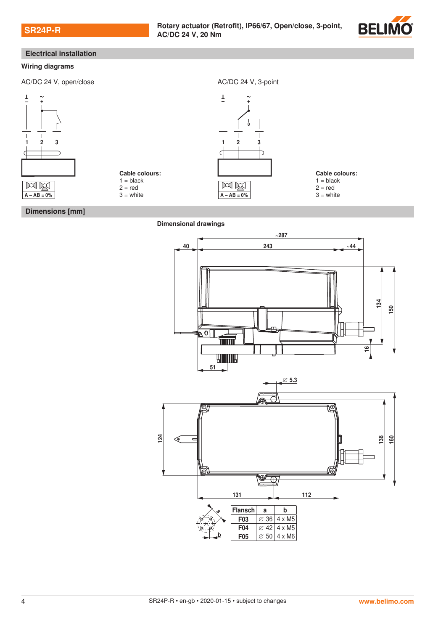

## **Electrical installation**

#### **Wiring diagrams**

AC/DC 24 V, open/close AC/DC 24 V, 3-point







**Cable colours:**

 $1 = **black**$  $2 = red$ 

 $3$  = white

**Dimensions [mm]**